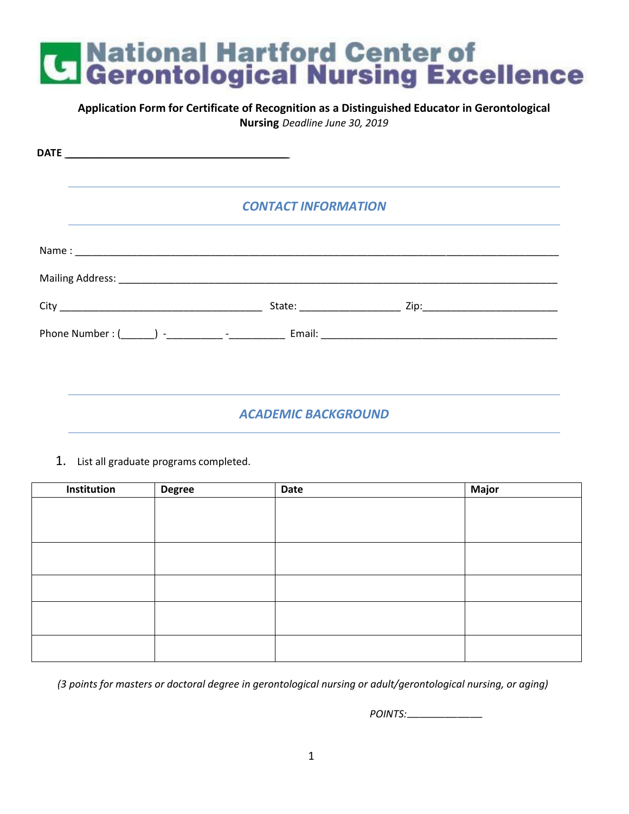#### **Application Form for Certificate of Recognition as a Distinguished Educator in Gerontological Nursing** *Deadline June 30, 2019* **DATE** \_\_\_\_\_\_\_\_\_\_\_\_\_\_\_\_\_\_\_\_\_\_\_\_\_\_\_\_\_\_\_\_\_\_\_\_\_\_\_\_\_\_\_\_\_\_\_\_\_\_\_\_\_\_\_\_\_\_\_\_\_\_\_\_\_\_\_\_\_\_\_\_\_\_\_\_\_\_\_\_\_\_\_\_\_\_\_\_\_\_\_\_\_\_\_\_\_\_\_\_\_\_\_\_\_\_\_\_\_\_\_\_\_\_\_\_\_\_\_\_\_\_\_\_\_\_\_\_\_\_\_\_\_\_\_\_\_\_\_\_\_\_\_\_\_\_\_\_\_\_\_\_\_\_\_\_\_\_\_\_\_\_ *CONTACT INFORMATION* Name : \_\_\_\_\_\_\_\_\_\_\_\_\_\_\_\_\_\_\_\_\_\_\_\_\_\_\_\_\_\_\_\_\_\_\_\_\_\_\_\_\_\_\_\_\_\_\_\_\_\_\_\_\_\_\_\_\_\_\_\_\_\_\_\_\_\_\_\_\_\_\_\_\_\_\_\_\_\_\_\_\_\_\_\_\_\_ Mailing Address: **with a strategies of the strategies of the strategies of the strategies** of the strategies of the strategies of the strategies of the strategies of the strategies of the strategies of the strategies of th City \_\_\_\_\_\_\_\_\_\_\_\_\_\_\_\_\_\_\_\_\_\_\_\_\_\_\_\_\_\_\_\_\_\_\_\_ State: \_\_\_\_\_\_\_\_\_\_\_\_\_\_\_\_\_\_ Zip:\_\_\_\_\_\_\_\_\_\_\_\_\_\_\_\_\_\_\_\_\_\_\_\_ Phone Number : (\_\_\_\_\_\_) -\_\_\_\_\_\_\_\_\_\_ -\_\_\_\_\_\_\_\_\_\_ Email: \_\_\_\_\_\_\_\_\_\_\_\_\_\_\_\_\_\_\_\_\_\_\_\_\_\_\_\_\_\_\_\_\_\_\_\_\_\_\_\_\_\_

#### *ACADEMIC BACKGROUND*

1. List all graduate programs completed.

| Institution | <b>Degree</b> | Date | <b>Major</b> |
|-------------|---------------|------|--------------|
|             |               |      |              |
|             |               |      |              |
|             |               |      |              |
|             |               |      |              |
|             |               |      |              |
|             |               |      |              |
|             |               |      |              |
|             |               |      |              |
|             |               |      |              |
|             |               |      |              |
|             |               |      |              |

*(3 points for masters or doctoral degree in gerontological nursing or adult/gerontological nursing, or aging)*

*POINTS:*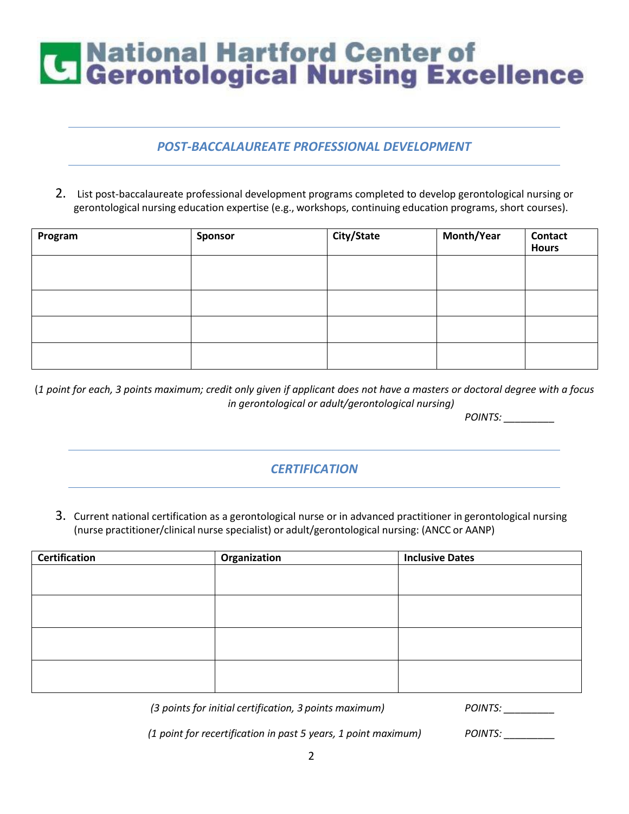#### *POST-BACCALAUREATE PROFESSIONAL DEVELOPMENT*

2. List post-baccalaureate professional development programs completed to develop gerontological nursing or gerontological nursing education expertise (e.g., workshops, continuing education programs, short courses).

| Program | Sponsor | City/State | Month/Year | <b>Contact</b><br><b>Hours</b> |
|---------|---------|------------|------------|--------------------------------|
|         |         |            |            |                                |
|         |         |            |            |                                |
|         |         |            |            |                                |
|         |         |            |            |                                |

(*1 point for each, 3 points maximum; credit only given if applicant does not have a masters or doctoral degree with a focus in gerontological or adult/gerontological nursing)*

*POINTS: \_\_\_\_\_\_\_\_\_*

#### *CERTIFICATION*

3. Current national certification as a gerontological nurse or in advanced practitioner in gerontological nursing (nurse practitioner/clinical nurse specialist) or adult/gerontological nursing: (ANCC or AANP)

| <b>Certification</b> | Organization | <b>Inclusive Dates</b> |
|----------------------|--------------|------------------------|
|                      |              |                        |
|                      |              |                        |
|                      |              |                        |
|                      |              |                        |
|                      |              |                        |
|                      |              |                        |
|                      |              |                        |
|                      |              |                        |

*(3 points for initial certification, 3 points maximum) POINTS: \_\_\_\_\_\_\_\_\_*

*(1 point for recertification in past 5 years, 1 point maximum) POINTS: \_\_\_\_\_\_\_\_\_*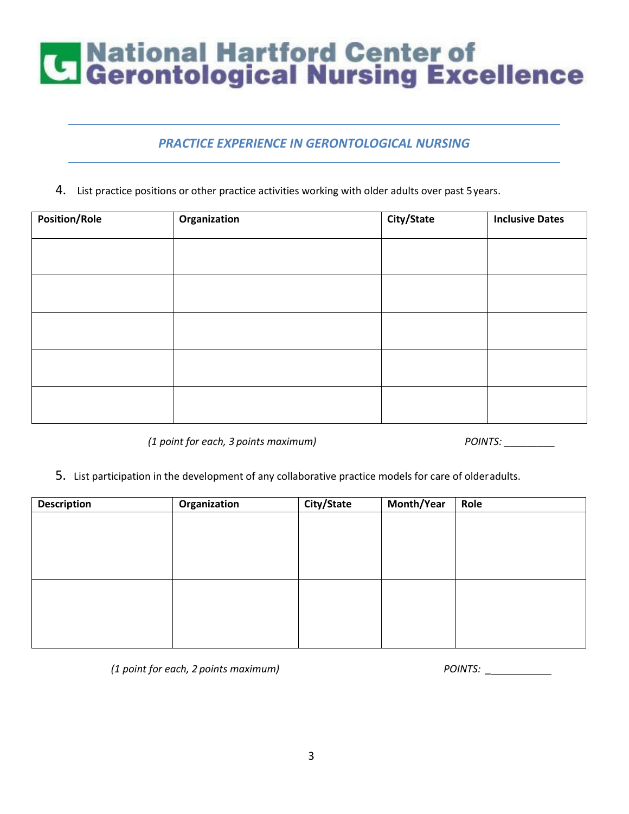#### *PRACTICE EXPERIENCE IN GERONTOLOGICAL NURSING*

4. List practice positions or other practice activities working with older adults over past 5years.

| <b>Position/Role</b> | Organization | City/State | <b>Inclusive Dates</b> |
|----------------------|--------------|------------|------------------------|
|                      |              |            |                        |
|                      |              |            |                        |
|                      |              |            |                        |
|                      |              |            |                        |
|                      |              |            |                        |

*(1 point for each, 3 points maximum) POINTS: \_\_\_\_\_\_\_\_\_*

5. List participation in the development of any collaborative practice models for care of olderadults.

| <b>Description</b> | Organization | City/State | Month/Year | Role |
|--------------------|--------------|------------|------------|------|
|                    |              |            |            |      |
|                    |              |            |            |      |
|                    |              |            |            |      |
|                    |              |            |            |      |
|                    |              |            |            |      |
|                    |              |            |            |      |
|                    |              |            |            |      |
|                    |              |            |            |      |
|                    |              |            |            |      |

*(1 point for each, 2 points maximum) POINTS: \_*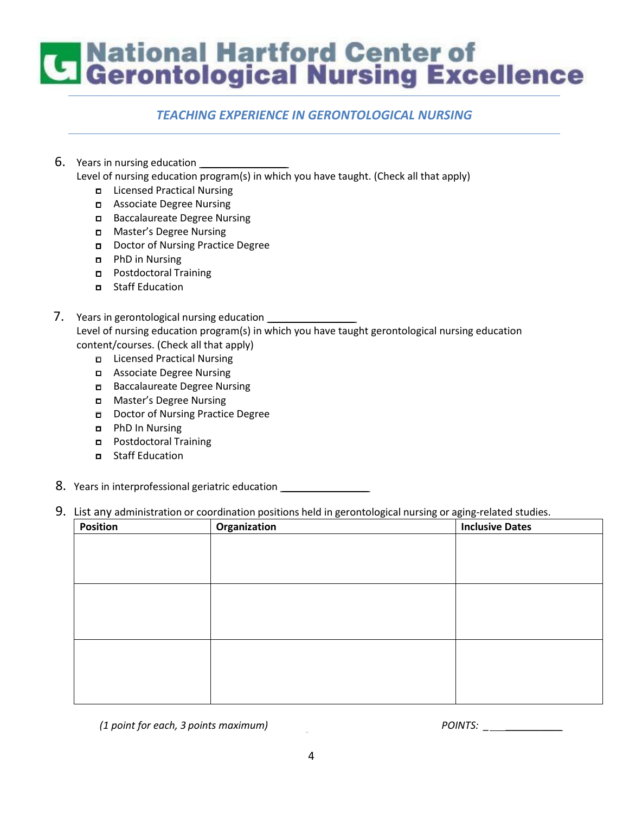### **Confidence Institute Section**<br>Confident Controllering Excellence

#### *TEACHING EXPERIENCE IN GERONTOLOGICAL NURSING*

6. Years in nursing education \_\_\_\_\_\_\_\_\_

Level of nursing education program(s) in which you have taught. (Check all that apply)

- □ Licensed Practical Nursing
- □ Associate Degree Nursing
- □ Baccalaureate Degree Nursing
- □ Master's Degree Nursing
- □ Doctor of Nursing Practice Degree
- □ PhD in Nursing
- □ Postdoctoral Training
- □ Staff Education

#### 7. Years in gerontological nursing education Level of nursing education program(s) in which you have taught gerontological nursing education content/courses. (Check all that apply)

- □ Licensed Practical Nursing
- □ Associate Degree Nursing
- □ Baccalaureate Degree Nursing
- □ Master's Degree Nursing
- □ Doctor of Nursing Practice Degree
- □ PhD In Nursing
- □ Postdoctoral Training
- □ Staff Education
- 8. Years in interprofessional geriatric education \_\_\_\_\_\_\_\_\_\_\_\_\_\_\_\_\_\_\_\_\_\_\_\_\_\_\_\_\_\_

#### 9. List any administration or coordination positions held in gerontological nursing or aging-related studies.

| <b>Position</b> | Organization | <b>Inclusive Dates</b> |
|-----------------|--------------|------------------------|
|                 |              |                        |
|                 |              |                        |
|                 |              |                        |
|                 |              |                        |
|                 |              |                        |
|                 |              |                        |
|                 |              |                        |
|                 |              |                        |
|                 |              |                        |
|                 |              |                        |

*(1 point for each, 3 points maximum) POINTS: \_ \_\_\_\_\_\_\_\_\_\_*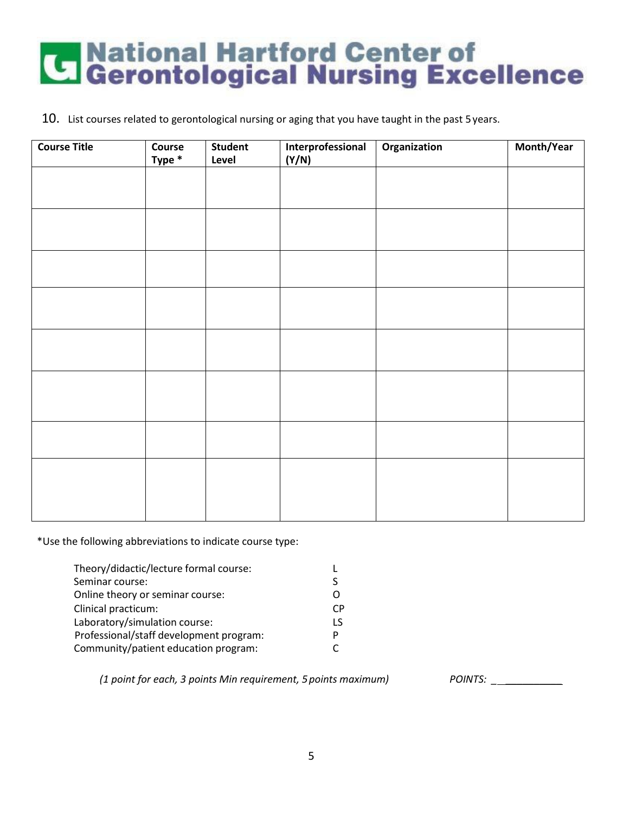10. List courses related to gerontological nursing or aging that you have taught in the past 5 years.

| <b>Course Title</b> | Course<br>Type * | <b>Student</b><br>Level | Interprofessional<br>(Y/N) | Organization | Month/Year |
|---------------------|------------------|-------------------------|----------------------------|--------------|------------|
|                     |                  |                         |                            |              |            |
|                     |                  |                         |                            |              |            |
|                     |                  |                         |                            |              |            |
|                     |                  |                         |                            |              |            |
|                     |                  |                         |                            |              |            |
|                     |                  |                         |                            |              |            |
|                     |                  |                         |                            |              |            |
|                     |                  |                         |                            |              |            |
|                     |                  |                         |                            |              |            |
|                     |                  |                         |                            |              |            |
|                     |                  |                         |                            |              |            |
|                     |                  |                         |                            |              |            |
|                     |                  |                         |                            |              |            |
|                     |                  |                         |                            |              |            |

\*Use the following abbreviations to indicate course type:

| Theory/didactic/lecture formal course:  |    |
|-----------------------------------------|----|
| Seminar course:                         | S  |
| Online theory or seminar course:        | Ω  |
| Clinical practicum:                     | СP |
| Laboratory/simulation course:           | 1S |
| Professional/staff development program: | P  |
| Community/patient education program:    |    |

*(1 point for each, 3 points Min requirement, 5points maximum) POINTS: \_ \_\_\_\_\_\_\_\_\_\_*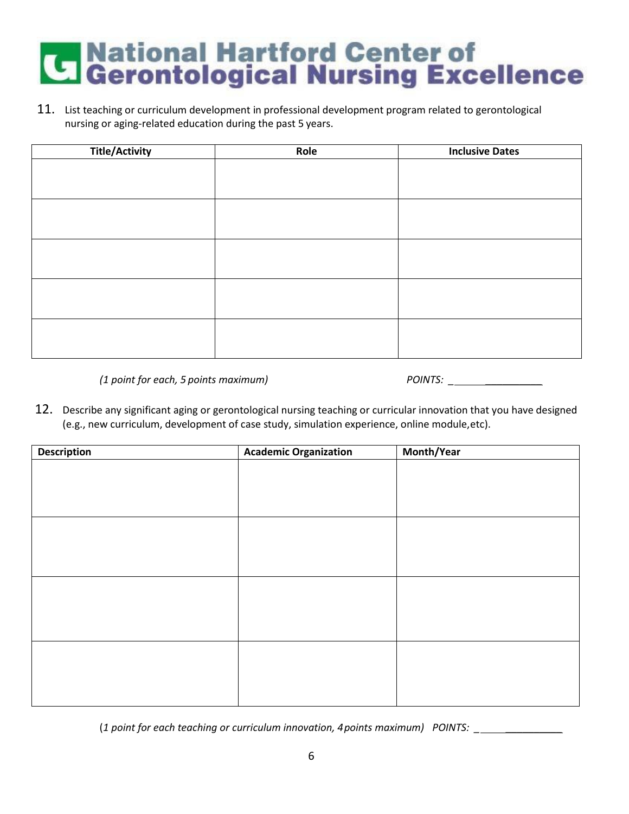11. List teaching or curriculum development in professional development program related to gerontological nursing or aging-related education during the past 5 years.

| <b>Title/Activity</b> | Role | <b>Inclusive Dates</b> |
|-----------------------|------|------------------------|
|                       |      |                        |
|                       |      |                        |
|                       |      |                        |
|                       |      |                        |
|                       |      |                        |
|                       |      |                        |
|                       |      |                        |
|                       |      |                        |
|                       |      |                        |
|                       |      |                        |
|                       |      |                        |
|                       |      |                        |
|                       |      |                        |
|                       |      |                        |
|                       |      |                        |

*(1 point for each, 5 points maximum)* 

| <b>POINTS:</b> |  |
|----------------|--|
|                |  |

12. Describe any significant aging or gerontological nursing teaching or curricular innovation that you have designed (e.g., new curriculum, development of case study, simulation experience, online module,etc).

| <b>Description</b> | <b>Academic Organization</b> | Month/Year |
|--------------------|------------------------------|------------|
|                    |                              |            |
|                    |                              |            |
|                    |                              |            |
|                    |                              |            |
|                    |                              |            |
|                    |                              |            |
|                    |                              |            |
|                    |                              |            |
|                    |                              |            |
|                    |                              |            |
|                    |                              |            |
|                    |                              |            |
|                    |                              |            |
|                    |                              |            |
|                    |                              |            |
|                    |                              |            |
|                    |                              |            |

(*1 point for each teaching or curriculum innovation, 4points maximum) POINTS: \_ \_\_\_\_\_\_\_\_\_\_*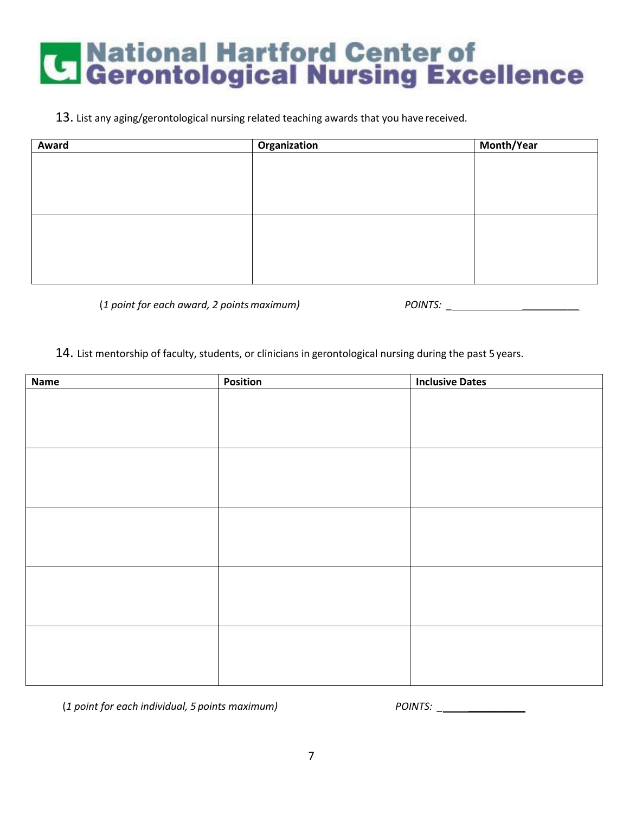#### 13. List any aging/gerontological nursing related teaching awards that you have received.

| Award | Organization | Month/Year |
|-------|--------------|------------|
|       |              |            |
|       |              |            |
|       |              |            |
|       |              |            |
|       |              |            |
|       |              |            |
|       |              |            |
|       |              |            |

(1 point for each award, 2 points maximum) **P** 

| POINTS: |
|---------|
|---------|

#### 14. List mentorship of faculty, students, or clinicians in gerontological nursing during the past 5 years.

| Name | Position | <b>Inclusive Dates</b> |
|------|----------|------------------------|
|      |          |                        |
|      |          |                        |
|      |          |                        |
|      |          |                        |
|      |          |                        |
|      |          |                        |
|      |          |                        |
|      |          |                        |
|      |          |                        |
|      |          |                        |
|      |          |                        |
|      |          |                        |
|      |          |                        |
|      |          |                        |
|      |          |                        |
|      |          |                        |
|      |          |                        |
|      |          |                        |
|      |          |                        |
|      |          |                        |

(*1 point for each individual, 5 points maximum) POINTS: \_ \_\_\_\_\_\_\_\_\_\_*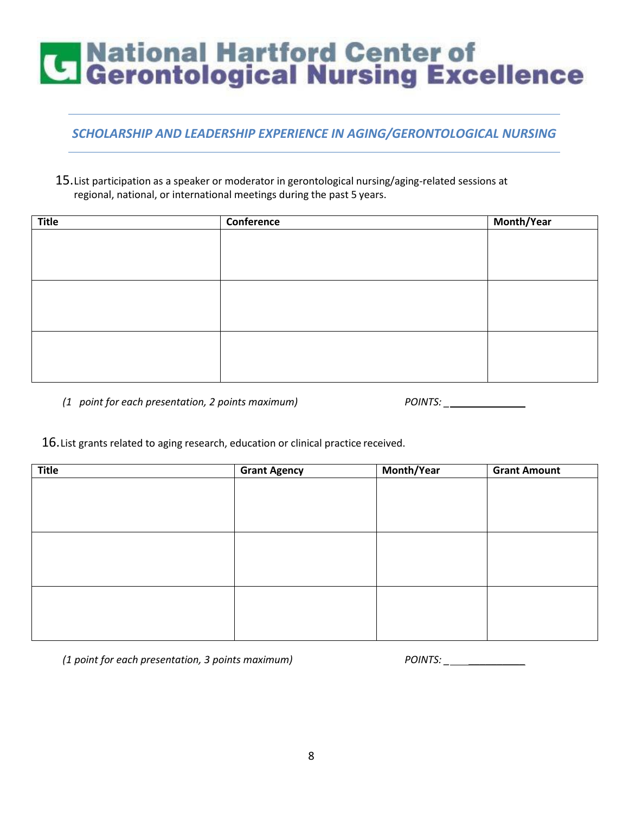#### *SCHOLARSHIP AND LEADERSHIP EXPERIENCE IN AGING/GERONTOLOGICAL NURSING*

15.List participation as a speaker or moderator in gerontological nursing/aging-related sessions at regional, national, or international meetings during the past 5 years.

| <b>Title</b> | Conference | Month/Year |
|--------------|------------|------------|
|              |            |            |
|              |            |            |
|              |            |            |
|              |            |            |
|              |            |            |
|              |            |            |
|              |            |            |
|              |            |            |
|              |            |            |
|              |            |            |
|              |            |            |

*(1 point for each presentation, 2 points maximum)* 

| <b>POINTS:</b> |  |
|----------------|--|
|                |  |

16.List grants related to aging research, education or clinical practice received.

| Title | <b>Grant Agency</b> | Month/Year | <b>Grant Amount</b> |
|-------|---------------------|------------|---------------------|
|       |                     |            |                     |
|       |                     |            |                     |
|       |                     |            |                     |
|       |                     |            |                     |
|       |                     |            |                     |
|       |                     |            |                     |
|       |                     |            |                     |
|       |                     |            |                     |
|       |                     |            |                     |
|       |                     |            |                     |
|       |                     |            |                     |

*(1 point for each presentation, 3 points maximum) POINTS: \_ \_\_\_\_\_\_\_\_\_\_*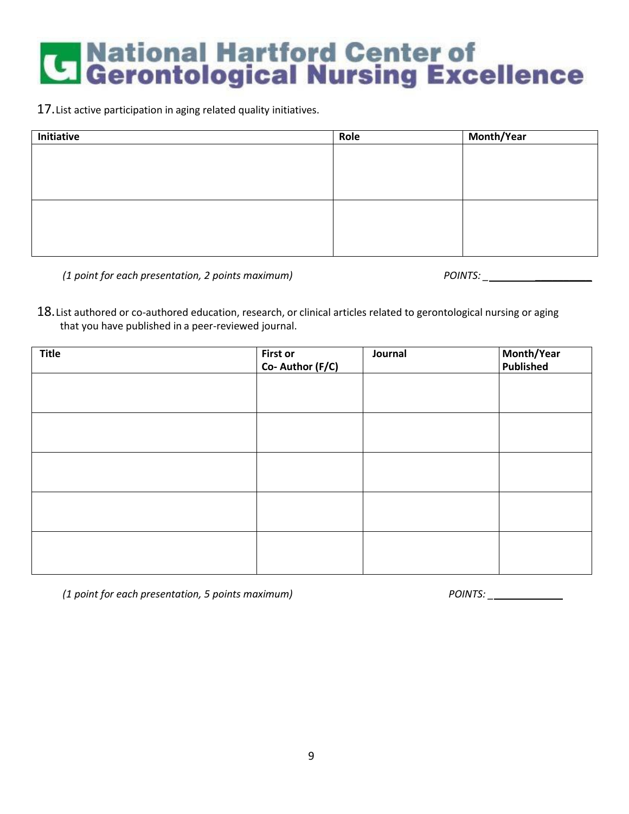17.List active participation in aging related quality initiatives.

| Initiative | Role | Month/Year |
|------------|------|------------|
|            |      |            |
|            |      |            |
|            |      |            |
|            |      |            |
|            |      |            |
|            |      |            |
|            |      |            |
|            |      |            |

*(1 point for each presentation, 2 points maximum) POINTS: \_ \_\_\_\_\_\_\_\_\_\_*

18. List authored or co-authored education, research, or clinical articles related to gerontological nursing or aging that you have published in a peer-reviewed journal.

| <b>Title</b> | First or<br>Co- Author (F/C) | Journal | Month/Year<br>Published |
|--------------|------------------------------|---------|-------------------------|
|              |                              |         |                         |
|              |                              |         |                         |
|              |                              |         |                         |
|              |                              |         |                         |
|              |                              |         |                         |

*(1 point for each presentation, 5 points maximum) POINTS: \_ \_\_\_\_\_\_\_\_\_\_*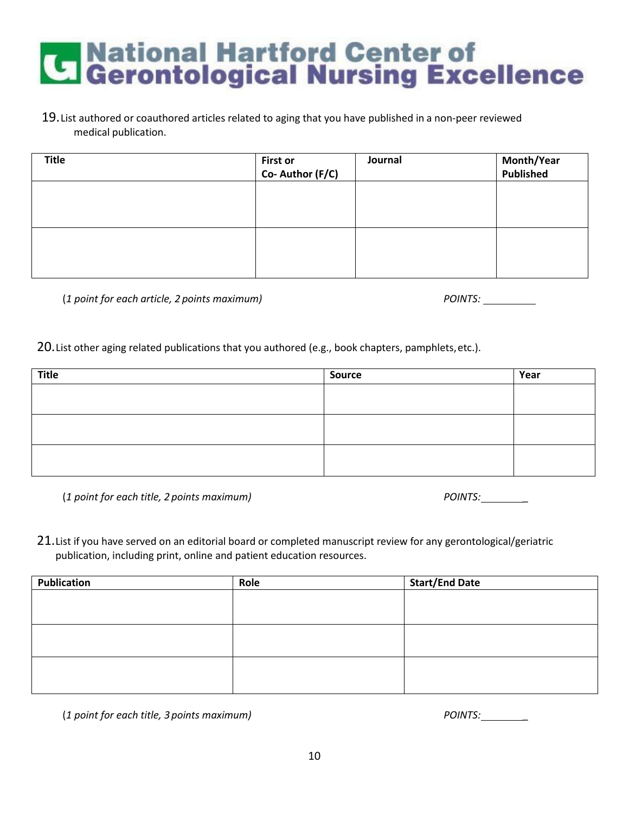#### 19.List authored or coauthored articles related to aging that you have published in a non-peer reviewed medical publication.

| <b>Title</b> | <b>First or</b><br>Co- Author (F/C) | Journal | Month/Year<br>Published |
|--------------|-------------------------------------|---------|-------------------------|
|              |                                     |         |                         |
|              |                                     |         |                         |
|              |                                     |         |                         |
|              |                                     |         |                         |

*(1 point for each article, 2 points maximum)* 

| <b>POINTS:</b> |  |
|----------------|--|
|                |  |

20.List other aging related publications that you authored (e.g., book chapters, pamphlets,etc.).

| <b>Title</b> | Source | Year |
|--------------|--------|------|
|              |        |      |
|              |        |      |
|              |        |      |
|              |        |      |
|              |        |      |
|              |        |      |

(1 point for each title, 2 points maximum)

| <b>POINTS:</b> |  |
|----------------|--|
|                |  |

21. List if you have served on an editorial board or completed manuscript review for any gerontological/geriatric publication, including print, online and patient education resources.

| <b>Publication</b> | Role | <b>Start/End Date</b> |
|--------------------|------|-----------------------|
|                    |      |                       |
|                    |      |                       |
|                    |      |                       |
|                    |      |                       |
|                    |      |                       |
|                    |      |                       |
|                    |      |                       |

(*1 point for each title, 3 points maximum) POINTS: \_*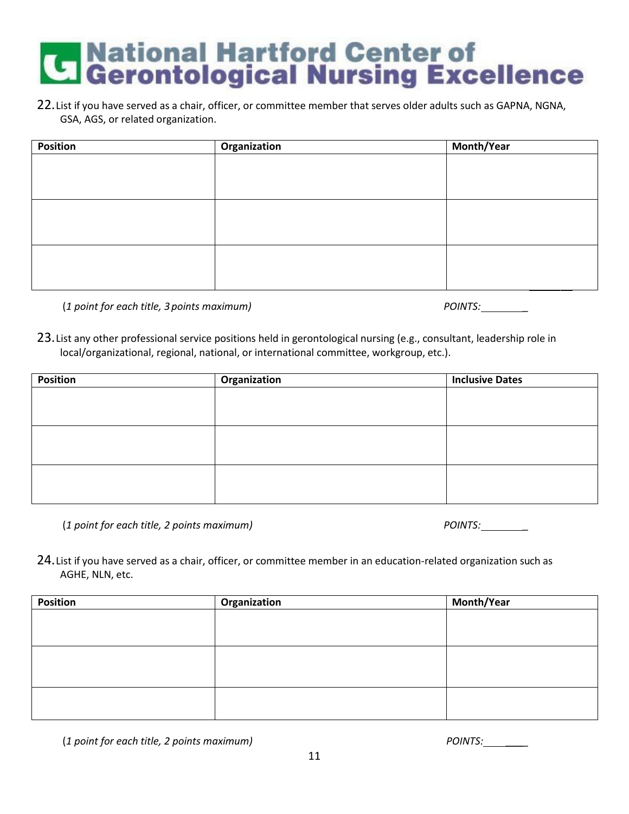22.List if you have served as a chair, officer, or committee member that serves older adults such as GAPNA, NGNA, GSA, AGS, or related organization.

| <b>Position</b> | <b>Organization</b> | Month/Year |
|-----------------|---------------------|------------|
|                 |                     |            |
|                 |                     |            |
|                 |                     |            |
|                 |                     |            |
|                 |                     |            |
|                 |                     |            |
|                 |                     |            |
|                 |                     |            |
|                 |                     |            |

(1 point for each title, 3 points maximum)

| <b>POINTS:</b> |  |
|----------------|--|
|----------------|--|

23.List any other professional service positions held in gerontological nursing (e.g., consultant, leadership role in local/organizational, regional, national, or international committee, workgroup, etc.).

| <b>Position</b> | Organization | <b>Inclusive Dates</b> |
|-----------------|--------------|------------------------|
|                 |              |                        |
|                 |              |                        |
|                 |              |                        |
|                 |              |                        |
|                 |              |                        |
|                 |              |                        |
|                 |              |                        |
|                 |              |                        |
|                 |              |                        |

(*1 point for each title, 2 points maximum) POINTS: \_*

24.List if you have served as a chair, officer, or committee member in an education-related organization such as AGHE, NLN, etc.

| <b>Position</b> | Organization | Month/Year |
|-----------------|--------------|------------|
|                 |              |            |
|                 |              |            |
|                 |              |            |
|                 |              |            |
|                 |              |            |
|                 |              |            |
|                 |              |            |
|                 |              |            |
|                 |              |            |

(*1 point for each title, 2 points maximum) POINTS: \_\_\_\_*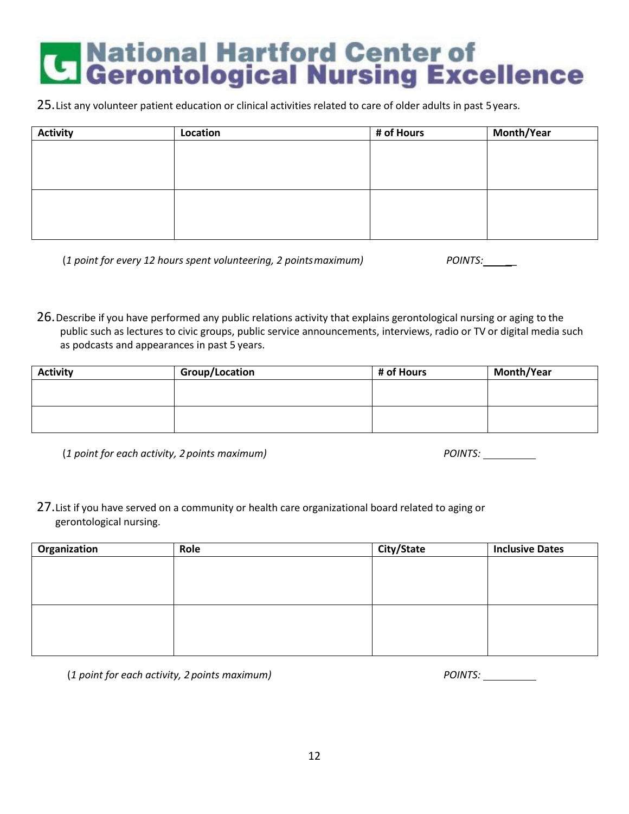## **Confidence Institute Contenting Confidence**<br>Confidential Controller Controllers Controllers Controllers Controllers Controllers Controllers Controllers Co<br>Controllers Controllers Controllers Controllers Controllers Contro

25.List any volunteer patient education or clinical activities related to care of older adults in past 5years.

| <b>Activity</b> | Location | # of Hours | Month/Year |
|-----------------|----------|------------|------------|
|                 |          |            |            |
|                 |          |            |            |
|                 |          |            |            |
|                 |          |            |            |
|                 |          |            |            |
|                 |          |            |            |
|                 |          |            |            |

(*1 point for every 12 hours spent volunteering, 2 pointsmaximum) POINTS: \_\_*

26.Describe if you have performed any public relations activity that explains gerontological nursing or aging to the public such as lectures to civic groups, public service announcements, interviews, radio or TV or digital media such as podcasts and appearances in past 5 years.

| <b>Activity</b> | <b>Group/Location</b> | # of Hours | Month/Year |
|-----------------|-----------------------|------------|------------|
|                 |                       |            |            |
|                 |                       |            |            |
|                 |                       |            |            |
|                 |                       |            |            |

(*1 point for each activity, 2 points maximum) POINTS:*

27. List if you have served on a community or health care organizational board related to aging or gerontological nursing.

| <b>Organization</b> | Role | City/State | <b>Inclusive Dates</b> |
|---------------------|------|------------|------------------------|
|                     |      |            |                        |
|                     |      |            |                        |
|                     |      |            |                        |
|                     |      |            |                        |
|                     |      |            |                        |
|                     |      |            |                        |
|                     |      |            |                        |
|                     |      |            |                        |

(*1 point for each activity, 2 points maximum) POINTS:*